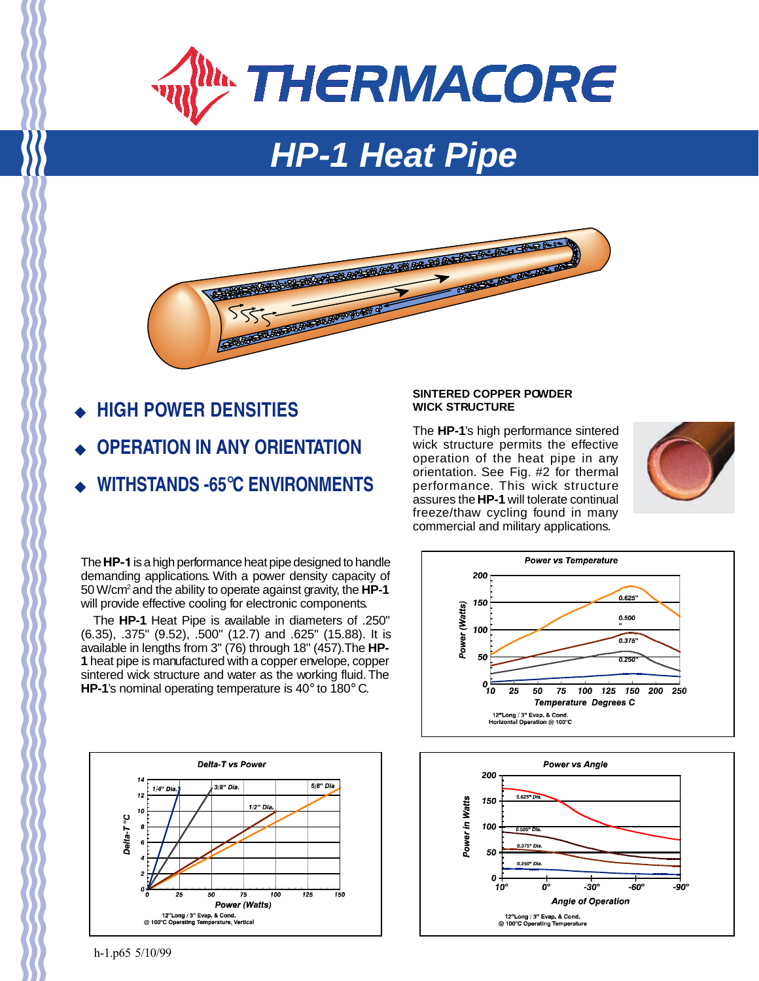

# **HP-1 Heat Pipe**



- ◆ **HIGH POWER DENSITIES**
- **OPERATION IN ANY ORIENTATION**
- ◆ **WITHSTANDS -65**°**C ENVIRONMENTS**

The **HP-1** is a high performance heat pipe designed to handle demanding applications. With a power density capacity of 50 W/cm2 and the ability to operate against gravity, the **HP-1** will provide effective cooling for electronic components.

The **HP-1** Heat Pipe is available in diameters of .250" (6.35), .375" (9.52), .500" (12.7) and .625" (15.88). It is available in lengths from 3" (76) through 18" (457). The **HP-1** heat pipe is manufactured with a copper envelope, copper sintered wick structure and water as the working fluid. The **HP-1**'s nominal operating temperature is 40° to 180° C.



## **SINTERED COPPER POWDER WICK STRUCTURE**

The **HP-1**'s high performance sintered wick structure permits the effective operation of the heat pipe in any orientation. See Fig. #2 for thermal performance. This wick structure assures the **HP-1** will tolerate continual freeze/thaw cycling found in many commercial and military applications.







h-1.p65 5/10/99